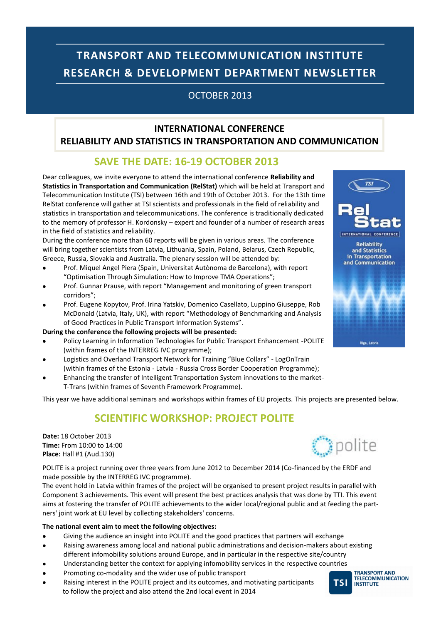## OCTOBER 2013

### **INTERNATIONAL CONFERENCE RELIABILITY AND STATISTICS IN TRANSPORTATION AND COMMUNICATION**

## **SAVE THE DATE: 16-19 OCTOBER 2013**

Dear colleagues, we invite everyone to attend the international conference **Reliability and Statistics in Transportation and Communication (RelStat)** which will be held at Transport and Telecommunication Institute (TSI) between 16th and 19th of October 2013. For the 13th time RelStat conference will gather at TSI scientists and professionals in the field of reliability and statistics in transportation and telecommunications. The conference is traditionally dedicated to the memory of professor H. Kordonsky – expert and founder of a number of research areas in the field of statistics and reliability.

During the conference more than 60 reports will be given in various areas. The conference will bring together scientists from Latvia, Lithuania, Spain, Poland, Belarus, Czech Republic, Greece, Russia, Slovakia and Australia. The plenary session will be attended by:

- Prof. Miquel Angel Piera (Spain, Universitat Autònoma de Barcelona), with report "Optimisation Through Simulation: How to Improve TMA Operations";
- Prof. Gunnar Prause, with report "Management and monitoring of green transport corridors";
- Prof. Eugene Kopytov, Prof. Irina Yatskiv, Domenico Casellato, Luppino Giuseppe, Rob McDonald (Latvia, Italy, UK), with report "Methodology of Benchmarking and Analysis of Good Practices in Public Transport Information Systems".

#### **During the conference the following projects will be presented:**

- Policy Learning in Information Technologies for Public Transport Enhancement -POLITE (within frames of the INTERREG IVC programme);
- Logistics and Overland Transport Network for Training "Blue Collars" LogOnTrain (within frames of the Estonia - Latvia - Russia Cross Border Cooperation Programme);
- Enhancing the transfer of Intelligent Transportation System innovations to the market-T-Trans (within frames of Seventh Framework Programme).

This year we have additional seminars and workshops within frames of EU projects. This projects are presented below.

## **SCIENTIFIC WORKSHOP: PROJECT POLITE**

**Date:** 18 October 2013 **Time:** From 10:00 to 14:00 **Place:** Hall #1 (Aud.130)

POLITE is a project running over three years from June 2012 to December 2014 (Co-financed by the ERDF and made possible by the INTERREG IVC programme).

The event hold in Latvia within frames of the project will be organised to present project results in parallel with Component 3 achievements. This event will present the best practices analysis that was done by TTI. This event aims at fostering the transfer of POLITE achievements to the wider local/regional public and at feeding the partners' joint work at EU level by collecting stakeholders' concerns.

#### **The national event aim to meet the following objectives:**

- Giving the audience an insight into POLITE and the good practices that partners will exchange
- Raising awareness among local and national public administrations and decision-makers about existing different infomobility solutions around Europe, and in particular in the respective site/country
- Understanding better the context for applying infomobility services in the respective countries
- Promoting co-modality and the wider use of public transport
- Raising interest in the POLITE project and its outcomes, and motivating participants to follow the project and also attend the 2nd local event in 2014



Riga, Latvia



**TRANSPORT AND TELECOMMUNICATION TSI INSTITUTE**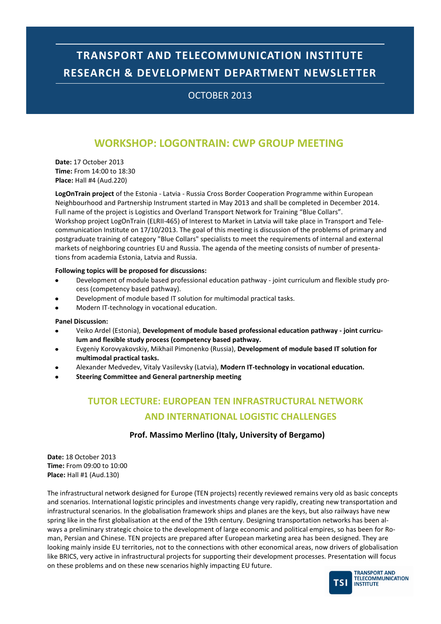## OCTOBER 2013

## **WORKSHOP: LOGONTRAIN: CWP GROUP MEETING**

**Date:** 17 October 2013 **Time:** From 14:00 to 18:30 **Place:** Hall #4 (Aud.220)

**LogOnTrain project** of the Estonia - Latvia - Russia Cross Border Cooperation Programme within European Neighbourhood and Partnership Instrument started in May 2013 and shall be completed in December 2014. Full name of the project is Logistics and Overland Transport Network for Training "Blue Collars". Workshop project LogOnTrain (ELRII-465) of Interest to Market in Latvia will take place in Transport and Telecommunication Institute on 17/10/2013. The goal of this meeting is discussion of the problems of primary and postgraduate training of category "Blue Collars" specialists to meet the requirements of internal and external markets of neighboring countries EU and Russia. The agenda of the meeting consists of number of presentations from academia Estonia, Latvia and Russia.

#### **Following topics will be proposed for discussions:**

- Development of module based professional education pathway joint curriculum and flexible study process (competency based pathway).
- Development of module based IT solution for multimodal practical tasks.
- Modern IT-technology in vocational education.

#### **Panel Discussion:**

- Veiko Ardel (Estonia), **Development of module based professional education pathway - joint curriculum and flexible study process (competency based pathway.**
- Evgeniy Korovyakovskiy, Mikhail Pimonenko (Russia), **Development of module based IT solution for multimodal practical tasks.**
- Alexander Medvedev, Vitaly Vasilevsky (Latvia), **Modern IT-technology in vocational education.**
- **Steering Committee and General partnership meeting**

## **TUTOR LECTURE: EUROPEAN TEN INFRASTRUCTURAL NETWORK AND INTERNATIONAL LOGISTIC CHALLENGES**

#### **Prof. Massimo Merlino (Italy, University of Bergamo)**

**Date:** 18 October 2013 **Time:** From 09:00 to 10:00 **Place:** Hall #1 (Aud.130)

The infrastructural network designed for Europe (TEN projects) recently reviewed remains very old as basic concepts and scenarios. International logistic principles and investments change very rapidly, creating new transportation and infrastructural scenarios. In the globalisation framework ships and planes are the keys, but also railways have new spring like in the first globalisation at the end of the 19th century. Designing transportation networks has been always a preliminary strategic choice to the development of large economic and political empires, so has been for Roman, Persian and Chinese. TEN projects are prepared after European marketing area has been designed. They are looking mainly inside EU territories, not to the connections with other economical areas, now drivers of globalisation like BRICS, very active in infrastructural projects for supporting their development processes. Presentation will focus on these problems and on these new scenarios highly impacting EU future.

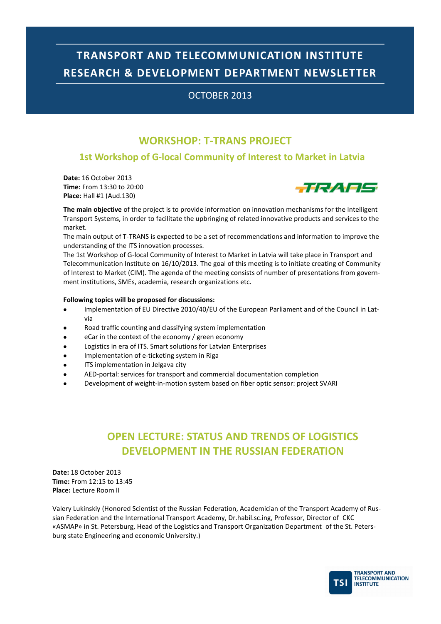### OCTOBER 2013

## **WORKSHOP: T-TRANS PROJECT**

## **1st Workshop of G-local Community of Interest to Market in Latvia**

**Date:** 16 October 2013 **Time:** From 13:30 to 20:00 **Place:** Hall #1 (Aud.130)



**The main objective** of the project is to provide information on innovation mechanisms for the Intelligent Transport Systems, in order to facilitate the upbringing of related innovative products and services to the market.

The main output of T-TRANS is expected to be a set of recommendations and information to improve the understanding of the ITS innovation processes.

The 1st Workshop of G-local Community of Interest to Market in Latvia will take place in Transport and Telecommunication Institute on 16/10/2013. The goal of this meeting is to initiate creating of Community of Interest to Market (CIM). The agenda of the meeting consists of number of presentations from government institutions, SMEs, academia, research organizations etc.

#### **Following topics will be proposed for discussions:**

- Implementation of EU Directive 2010/40/EU of the European Parliament and of the Council in Latvia
- Road traffic counting and classifying system implementation
- eCar in the context of the economy / green economy
- Logistics in era of ITS. Smart solutions for Latvian Enterprises
- Implementation of e-ticketing system in Riga
- ITS implementation in Jelgava city
- AED-portal: services for transport and commercial documentation completion
- Development of weight-in-motion system based on fiber optic sensor: project SVARI

## **OPEN LECTURE: STATUS AND TRENDS OF LOGISTICS DEVELOPMENT IN THE RUSSIAN FEDERATION**

**Date:** 18 October 2013 **Time:** From 12:15 to 13:45 **Place:** Lecture Room II

Valery Lukinskiy (Honored Scientist of the Russian Federation, Academician of the Transport Academy of Russian Federation and the International Transport Academy, Dr.habil.sc.ing, Professor, Director of CKC «ASMAP» in St. Petersburg, Head of the Logistics and Transport Organization Department of the St. Petersburg state Engineering and economic University.)

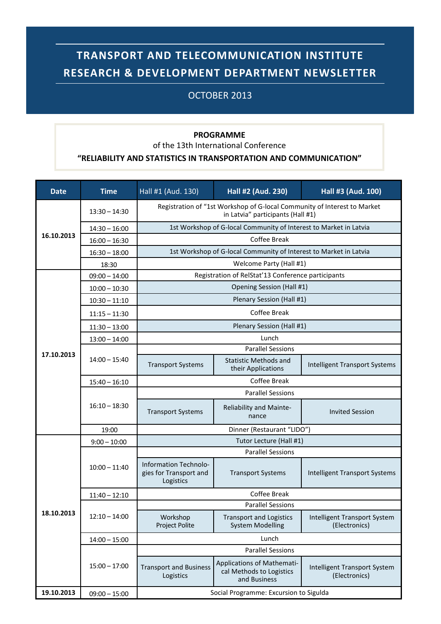### OCTOBER 2013

#### **PROGRAMME**

of the 13th International Conference

#### **"RELIABILITY AND STATISTICS IN TRANSPORTATION AND COMMUNICATION"**

| <b>Date</b> | <b>Time</b>     | Hall #1 (Aud. 130)                                                                                            | Hall #2 (Aud. 230)                                                     | Hall #3 (Aud. 100)                            |
|-------------|-----------------|---------------------------------------------------------------------------------------------------------------|------------------------------------------------------------------------|-----------------------------------------------|
| 16.10.2013  | $13:30 - 14:30$ | Registration of "1st Workshop of G-local Community of Interest to Market<br>in Latvia" participants (Hall #1) |                                                                        |                                               |
|             | $14:30 - 16:00$ | 1st Workshop of G-local Community of Interest to Market in Latvia                                             |                                                                        |                                               |
|             | $16:00 - 16:30$ | Coffee Break                                                                                                  |                                                                        |                                               |
|             | $16:30 - 18:00$ | 1st Workshop of G-local Community of Interest to Market in Latvia                                             |                                                                        |                                               |
|             | 18:30           | Welcome Party (Hall #1)                                                                                       |                                                                        |                                               |
| 17.10.2013  | $09:00 - 14:00$ | Registration of RelStat'13 Conference participants                                                            |                                                                        |                                               |
|             | $10:00 - 10:30$ | Opening Session (Hall #1)                                                                                     |                                                                        |                                               |
|             | $10:30 - 11:10$ | Plenary Session (Hall #1)                                                                                     |                                                                        |                                               |
|             | $11:15 - 11:30$ | Coffee Break                                                                                                  |                                                                        |                                               |
|             | $11:30 - 13:00$ | Plenary Session (Hall #1)                                                                                     |                                                                        |                                               |
|             | $13:00 - 14:00$ | Lunch                                                                                                         |                                                                        |                                               |
|             | $14:00 - 15:40$ | <b>Parallel Sessions</b>                                                                                      |                                                                        |                                               |
|             |                 | <b>Transport Systems</b>                                                                                      | <b>Statistic Methods and</b><br>their Applications                     | <b>Intelligent Transport Systems</b>          |
|             | $15:40 - 16:10$ | Coffee Break                                                                                                  |                                                                        |                                               |
|             | $16:10 - 18:30$ | <b>Parallel Sessions</b>                                                                                      |                                                                        |                                               |
|             |                 | <b>Transport Systems</b>                                                                                      | Reliability and Mainte-<br>nance                                       | <b>Invited Session</b>                        |
|             | 19:00           | Dinner (Restaurant "LIDO")                                                                                    |                                                                        |                                               |
| 18.10.2013  | $9:00 - 10:00$  | Tutor Lecture (Hall #1)                                                                                       |                                                                        |                                               |
|             | $10:00 - 11:40$ | <b>Parallel Sessions</b>                                                                                      |                                                                        |                                               |
|             |                 | Information Technolo-<br>gies for Transport and<br>Logistics                                                  | <b>Transport Systems</b>                                               | <b>Intelligent Transport Systems</b>          |
|             | $11:40 - 12:10$ | Coffee Break                                                                                                  |                                                                        |                                               |
|             | $12:10 - 14:00$ | <b>Parallel Sessions</b>                                                                                      |                                                                        |                                               |
|             |                 | Workshop<br>Project Polite                                                                                    | Transport and Logistics<br><b>System Modelling</b>                     | Intelligent Transport System<br>(Electronics) |
|             | $14:00 - 15:00$ | Lunch                                                                                                         |                                                                        |                                               |
|             | $15:00 - 17:00$ | <b>Parallel Sessions</b>                                                                                      |                                                                        |                                               |
|             |                 | <b>Transport and Business</b><br>Logistics                                                                    | Applications of Mathemati-<br>cal Methods to Logistics<br>and Business | Intelligent Transport System<br>(Electronics) |
| 19.10.2013  | $09:00 - 15:00$ | Social Programme: Excursion to Sigulda                                                                        |                                                                        |                                               |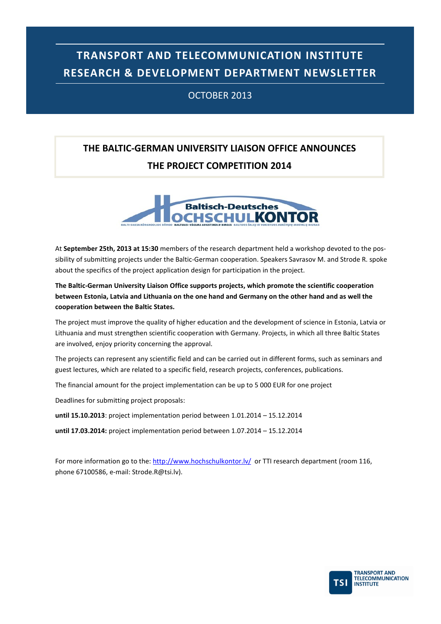## OCTOBER 2013

## **THE BALTIC-GERMAN UNIVERSITY LIAISON OFFICE ANNOUNCES THE PROJECT COMPETITION 2014**



At **September 25th, 2013 at 15:30** members of the research department held a workshop devoted to the possibility of submitting projects under the Baltic-German cooperation. Speakers Savrasov M. and Strode R. spoke about the specifics of the project application design for participation in the project.

**The Baltic-German University Liaison Office supports projects, which promote the scientific cooperation between Estonia, Latvia and Lithuania on the one hand and Germany on the other hand and as well the cooperation between the Baltic States.**

The project must improve the quality of higher education and the development of science in Estonia, Latvia or Lithuania and must strengthen scientific cooperation with Germany. Projects, in which all three Baltic States are involved, enjoy priority concerning the approval.

The projects can represent any scientific field and can be carried out in different forms, such as seminars and guest lectures, which are related to a specific field, research projects, conferences, publications.

The financial amount for the project implementation can be up to 5 000 EUR for one project

Deadlines for submitting project proposals:

**until 15.10.2013**: project implementation period between 1.01.2014 – 15.12.2014

**until 17.03.2014:** project implementation period between 1.07.2014 – 15.12.2014

For more information go to the:<http://www.hochschulkontor.lv/>or TTI research department (room 116, phone 67100586, e-mail: Strode.R@tsi.lv).

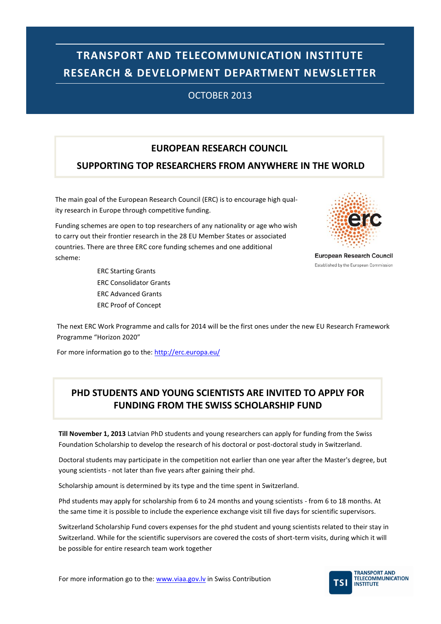## OCTOBER 2013

### **EUROPEAN RESEARCH COUNCIL**

## **SUPPORTING TOP RESEARCHERS FROM ANYWHERE IN THE WORLD**

The main goal of the European Research Council (ERC) is to encourage high quality research in Europe through competitive funding.

Funding schemes are open to top researchers of any nationality or age who wish to carry out their frontier research in the 28 EU Member States or associated countries. There are three ERC core funding schemes and one additional scheme:

 $\bigoplus$  de

**European Research Council** Established by the European Commission

ERC Starting Grants ERC Consolidator Grants ERC Advanced Grants ERC Proof of Concept

The next ERC Work Programme and calls for 2014 will be the first ones under the new EU Research Framework Programme "Horizon 2020"

For more information go to the: <http://erc.europa.eu/>

## **PHD STUDENTS AND YOUNG SCIENTISTS ARE INVITED TO APPLY FOR FUNDING FROM THE SWISS SCHOLARSHIP FUND**

**Till November 1, 2013** Latvian PhD students and young researchers can apply for funding from the Swiss Foundation Scholarship to develop the research of his doctoral or post-doctoral study in Switzerland.

Doctoral students may participate in the competition not earlier than one year after the Master's degree, but young scientists - not later than five years after gaining their phd.

Scholarship amount is determined by its type and the time spent in Switzerland.

Phd students may apply for scholarship from 6 to 24 months and young scientists - from 6 to 18 months. At the same time it is possible to include the experience exchange visit till five days for scientific supervisors.

Switzerland Scholarship Fund covers expenses for the phd student and young scientists related to their stay in Switzerland. While for the scientific supervisors are covered the costs of short-term visits, during which it will be possible for entire research team work together

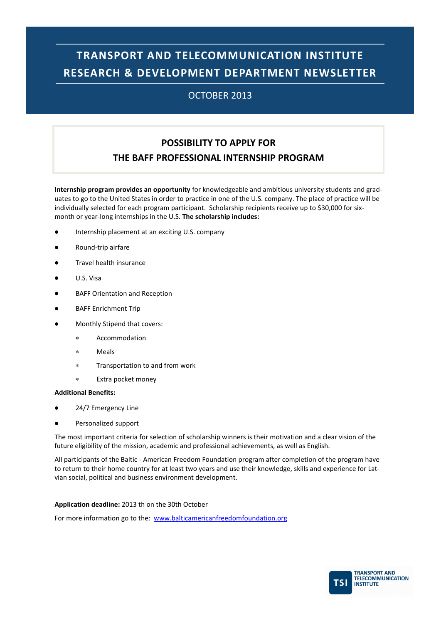## OCTOBER 2013

## **POSSIBILITY TO APPLY FOR THE BAFF PROFESSIONAL INTERNSHIP PROGRAM**

**Internship program provides an opportunity** for knowledgeable and ambitious university students and graduates to go to the United States in order to practice in one of the U.S. company. The place of practice will be individually selected for each program participant. Scholarship recipients receive up to \$30,000 for sixmonth or year-long internships in the U.S. **The scholarship includes:**

- Internship placement at an exciting U.S. company
- Round-trip airfare
- Travel health insurance
- U.S. Visa
- BAFF Orientation and Reception
- BAFF Enrichment Trip
- Monthly Stipend that covers:
	- Accommodation  $\ast$
	- Meals
	- Transportation to and from work  $\ast$
	- $\ast$ Extra pocket money

#### **Additional Benefits:**

- 24/7 Emergency Line
- Personalized support  $\bullet$

The most important criteria for selection of scholarship winners is their motivation and a clear vision of the future eligibility of the mission, academic and professional achievements, as well as English.

All participants of the Baltic - American Freedom Foundation program after completion of the program have to return to their home country for at least two years and use their knowledge, skills and experience for Latvian social, political and business environment development.

#### **Application deadline:** 2013 th on the 30th October

For more information go to the: [www.balticamericanfreedomfoundation.org](http://www.balticamericanfreedomfoundation.org)

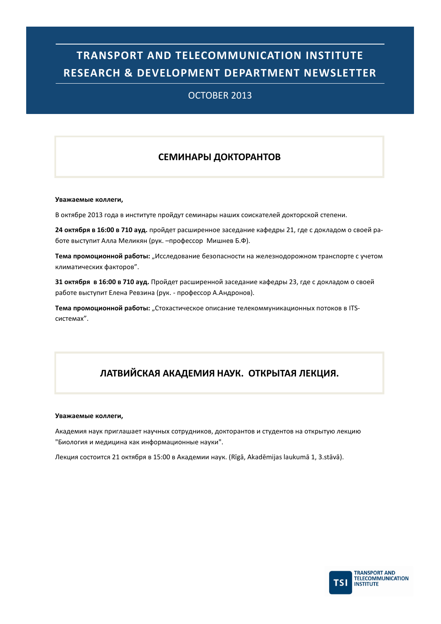## OCTOBER 2013

## **СЕМИНАРЫ ДОКТОРАНТОВ**

#### **Уважаемые коллеги,**

В октябре 2013 года в институте пройдут семинары наших соискателей докторской степени.

**24 октября в 16:00 в 710 ауд.** пройдет расширенное заседание кафедры 21, где с докладом о своей работе выступит Алла Меликян (рук. –профессор Мишнев Б.Ф).

**Тема промоционной работы:** "Исследование безопасности на железнодорожном транспорте с учетом климатических факторов".

**31 октября в 16:00 в 710 ауд.** Пройдет расширенной заседание кафедры 23, где с докладом о своей работе выступит Елена Ревзина (рук. - профессор А.Андронов).

**Тема промоционной работы:** "Стохастическое описание телекоммуникационных потоков в ITSсистемах".

## **ЛАТВИЙСКАЯ АКАДЕМИЯ НАУК. ОТКРЫТАЯ ЛЕКЦИЯ.**

#### **Уважаемые коллеги,**

Академия наук приглашает научных сотрудников, докторантов и студентов на открытую лекцию "Биология и медицина как информационные науки".

Лекция состоится 21 октября в 15:00 в Академии наук. (Rīgā, Akadēmijas laukumā 1, 3.stāvā).